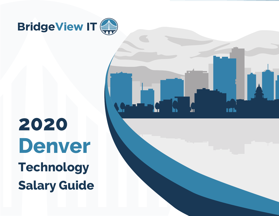

**2020 Denver Technology Salary Guide**

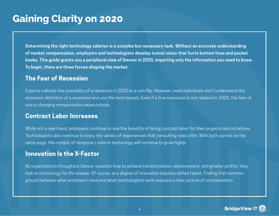## **Gaining Clarity on 2020**

**Determining the right technology salaries is a complex but necessary task. Without an accurate understanding of market compensation, employers and technologists develop tunnel vision that hurts bottom lines and pocket books. This guide grants you a peripheral view of Denver in 2020, imparting only the information you need to know. To begin, there are three forces shaping the market:**

#### **The Fear of Recession**

Experts indicate the possibility of a recession in 2020 is a coin flip. However, most individuals don't understand the economic definition of a recession and use the term loosely. Even if a true recession is not realized in 2020, the fear of one is changing compensation expectations.

#### **Contract Labor Increases**

While not a new trend, employers continue to see the benefits of hiring contract labor for their projects and initiatives. Technologists also continue to enjoy the variety of experiences that consulting roles offer. With both parties on the same page, the number of temporary roles in technology will continue to grow higher.

### **Innovation Is the X-Factor**

As organizations throughout Denver question how to achieve transformation, advancement, and greater profits, they look to technology for the answer. Of course, any degree of innovation requires skilled talent. Finding that common ground between what employers need and what technologists want requires a clear picture of compensation.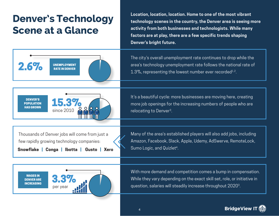# **Denver's Technology Scene at a Glance**

UNEMPLOYMENT RATE IN DENVER **Location, location, location. Home to one of the most vibrant technology scenes in the country, the Denver area is seeing more activity from both businesses and technologists. While many factors are at play, there are a few specific trends shaping Denver's bright future.**

The city's overall unemployment rate continues to drop while the area's technology unemployment rate follows the national rate of 1.3%, representing the lowest number ever recorded<sup>1,2</sup>.

It's a beautiful cycle: more businesses are moving here, creating more job openings for the increasing numbers of people who are relocating to Denver3.

Thousands of Denver jobs will come from just a few rapidly growing technology companies:

since 2010

DENVER'S **15.3%** 

POPULATION HAS GROWN

 $2.6%$ 

**Snowflake | Conga | Ibotta | Gusto | Xero**



Many of the area's established players will also add jobs, including Amazon, Facebook, Slack, Apple, Udemy, AdSwerve, RemoteLock, Sumo Logic, and Quizlet<sup>4</sup>.

With more demand and competition comes a bump in compensation. While they vary depending on the exact skill set, role, or initiative in question, salaries will steadily increase throughout 20203.

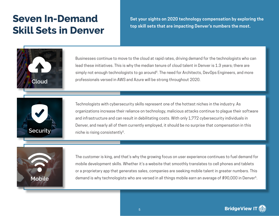## **Seven In-Demand Skill Sets in Denver**

**Set your sights on 2020 technology compensation by exploring the top skill sets that are impacting Denver's numbers the most.**



Businesses continue to move to the cloud at rapid rates, driving demand for the technologists who can lead these initiatives. This is why the median tenure of cloud talent in Denver is 1.3 years; there are simply not enough technologists to go around<sup>5</sup>. The need for Architects, DevOps Engineers, and more professionals versed in AWS and Azure will be strong throughout 2020. **Cloud**



Technologists with cybersecurity skills represent one of the hottest niches in the industry. As organizations increase their reliance on technology, malicious attacks continue to plague their software and infrastructure and can result in debilitating costs. With only 1,772 cybersecurity individuals in Denver, and nearly all of them currently employed, it should be no surprise that compensation in this **Security Security Security Security Security Security Security Security Security Security Security Security Security Security Security Security Security Security Security Security S** 



The customer is king, and that's why the growing focus on user experience continues to fuel demand for mobile development skills. Whether it's a website that smoothly translates to cell phones and tablets or a proprietary app that generates sales, companies are seeking mobile talent in greater numbers. This demand is why technologists who are versed in all things mobile earn an average of \$90,000 in Denver5 **Mobile** .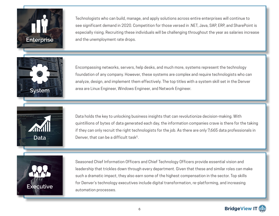

Technologists who can build, manage, and apply solutions across entire enterprises will continue to see significant demand in 2020. Competition for those versed in .NET, Java, SAP, ERP, and SharePoint is especially rising. Recruiting these individuals will be challenging throughout the year as salaries increase **Enterprise and the unemployment rate drops.** 



Encompassing networks, servers, help desks, and much more, systems represent the technology foundation of any company. However, these systems are complex and require technologists who can analyze, design, and implement them effectively. The top titles with a system skill set in the Denver area are Linux Engineer, Windows Engineer, and Network Engineer.



Data holds the key to unlocking business insights that can revolutionize decision-making. With quintillions of bytes of data generated each day, the information companies crave is there for the taking if they can only recruit the right technologists for the job. As there are only 7,665 data professionals in Denver, that can be a difficult task<sup>5</sup>.



Seasoned Chief Information Officers and Chief Technology Officers provide essential vision and leadership that trickles down through every department. Given that these and similar roles can make such a dramatic impact, they also earn some of the highest compensation in the sector. Top skills for Denver's technology executives include digital transformation, re-platforming, and increasing automation processes.

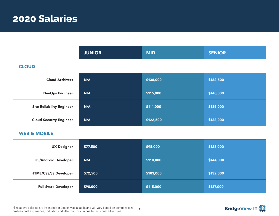## **2020 Salaries**

|                                  | <b>JUNIOR</b> | <b>MID</b> | <b>SENIOR</b> |  |  |
|----------------------------------|---------------|------------|---------------|--|--|
| <b>CLOUD</b>                     |               |            |               |  |  |
| <b>Cloud Architect</b>           | N/A           | \$138,000  | \$162,500     |  |  |
| <b>DevOps Engineer</b>           | N/A           | \$115,000  | \$140,000     |  |  |
| <b>Site Reliability Engineer</b> | N/A           | \$111,000  | \$136,000     |  |  |
| <b>Cloud Security Engineer</b>   | N/A           | \$122,500  | \$138,000     |  |  |
| <b>WEB &amp; MOBILE</b>          |               |            |               |  |  |
| <b>UX Designer</b>               | \$77,500      | \$95,000   | \$125,000     |  |  |
| iOS/Android Developer            | N/A           | \$110,000  | \$144,000     |  |  |
| HTML/CSS/JS Developer            | \$72,500      | \$103,000  | \$132,000     |  |  |
| <b>Full Stack Developer</b>      | \$90,000      | \$115,000  | \$137,000     |  |  |

7 \*The above salaries are intended for use only as a guide and will vary based on company size, professional experience, industry, and other factors unique to individual situations.

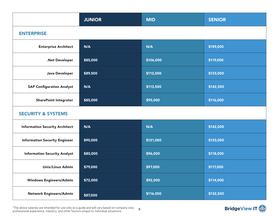|                                       | <b>JUNIOR</b> | <b>MID</b> | <b>SENIOR</b> |  |  |
|---------------------------------------|---------------|------------|---------------|--|--|
| <b>ENTERPRISE</b>                     |               |            |               |  |  |
| <b>Enterprise Architect</b>           | N/A           | N/A        | \$159,000     |  |  |
| .Net Developer                        | \$85,000      | \$106,000  | \$119,000     |  |  |
| Java Developer                        | \$89,500      | \$112,000  | \$133,000     |  |  |
| <b>SAP Configuration Analyst</b>      | N/A           | \$113,500  | \$142,500     |  |  |
| <b>SharePoint Integrator</b>          | \$85,000      | \$95,000   | \$116,000     |  |  |
| <b>SECURITY &amp; SYSTEMS</b>         |               |            |               |  |  |
| <b>Information Security Architect</b> | N/A           | N/A        | \$142,000     |  |  |
| <b>Information Security Engineer</b>  | \$90,000      | \$121,000  | \$133,000     |  |  |
| <b>Information Security Analyst</b>   | \$80,000      | \$96,000   | \$118,000     |  |  |
| <b>Unix/Linux Admin</b>               | \$79,000      | \$97,000   | \$117,000     |  |  |
| <b>Windows Engineers/Admin</b>        | \$72,000      | \$92,000   | \$114,000     |  |  |
| Network Engineers/Admin               | \$87,000      | \$116,000  | \$132,500     |  |  |

 $^*$ The above salaries are intended for use only as a guide and will vary based on company size,  $\overline{8}$ professional experience, industry, and other factors unique to individual situations.

### **BridgeView IT**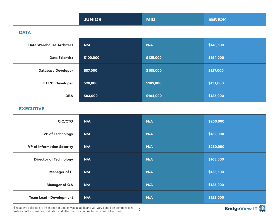|                                   | <b>JUNIOR</b> | <b>MID</b> | <b>SENIOR</b> |  |  |
|-----------------------------------|---------------|------------|---------------|--|--|
| <b>DATA</b>                       |               |            |               |  |  |
| <b>Data Warehouse Architect</b>   | N/A           | N/A        | \$148,500     |  |  |
| <b>Data Scientist</b>             | \$100,000     | \$125,000  | \$164,000     |  |  |
| <b>Database Developer</b>         | \$87,000      | \$105,000  | \$127,000     |  |  |
| <b>ETL/BI Developer</b>           | \$90,000      | \$109,000  | \$131,000     |  |  |
| <b>DBA</b>                        | \$83,000      | \$104,000  | \$125,000     |  |  |
| <b>EXECUTIVE</b>                  |               |            |               |  |  |
| <b>CIO/CTO</b>                    | N/A           | N/A        | \$250,000     |  |  |
| <b>VP of Technology</b>           | N/A           | N/A        | \$182,000     |  |  |
| <b>VP of Information Security</b> | N/A           | N/A        | \$230,000     |  |  |
| <b>Director of Technology</b>     | N/A           | N/A        | \$168,000     |  |  |
| <b>Manager of IT</b>              | N/A           | N/A        | \$133,500     |  |  |
| <b>Manager of QA</b>              | N/A           | N/A        | \$126,000     |  |  |
| <b>Team Lead - Development</b>    | N/A           | N/A        | \$122,000     |  |  |

\*The above salaries are intended for use only as a guide and will vary based on company size, professional experience, industry, and other factors unique to individual situations.

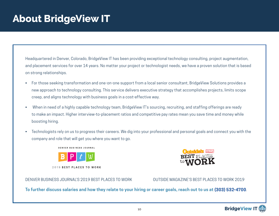## **About BridgeView IT**

Headquartered in Denver, Colorado, BridgeView IT has been providing exceptional technology consulting, project augmentation, and placement services for over 14 years. No matter your project or technologist needs, we have a proven solution that is based on strong relationships.

- For those seeking transformation and one-on-one support from a local senior consultant, BridgeView Solutions provides a new approach to technology consulting. This service delivers executive strategy that accomplishes projects, limits scope creep, and aligns technology with business goals in a cost-effective way.
- When in need of a highly capable technology team, BridgeView IT's sourcing, recruiting, and staffing offerings are ready to make an impact. Higher interview-to-placement ratios and competitive pay rates mean you save time and money while boosting hiring.
- Technologists rely on us to progress their careers. We dig into your professional and personal goals and connect you with the company and role that will get you where you want to go.

**DENVER BUSINESS JOURNAL** 



2019 BEST PLACES TO WORK

DENVER BUSINESS JOURNAL'S 2019 BEST PLACES TO WORK OUTSIDE MAGAZINE'S BEST PLACES TO WORK 2019

**To further discuss salaries and how they relate to your hiring or career goals, reach out to us at (303) 532-4700**.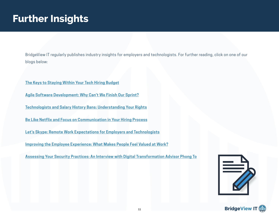## **Further Insights**

BridgeView IT regularly publishes industry insights for employers and technologists. For further reading, click on one of our blogs below:

**[The Keys to Staying Within Your Tech Hiring Budget](https://bridgeviewit.com/tech-hiring-budget/)**

**[Agile Software Development: Why Can't We Finish Our Sprint?](https://bridgeviewit.com/insight/agile-software-development/)**

**[Technologists and Salary History Bans: Understanding Your Rights](https://bridgeviewit.com/insight/insight-technologists-salary-history-bans/)**

**[Be Like Netflix and Focus on Communication in Your Hiring Process](https://bridgeviewit.com/improving-communication-in-technology-hiring/)**

**[Let's Skype: Remote Work Expectations for Employers and Technologists](https://bridgeviewit.com/remote-work-expectations/)**

**[Improving the Employee Experience: What Makes People Feel Valued at Work?](https://bridgeviewit.com/insight/improving-employee-experience/)**

**[Assessing Your Security Practices: An Interview with Digital Transformation Advisor Phong To](https://bridgeviewit.com/insight/security-assessment/)**